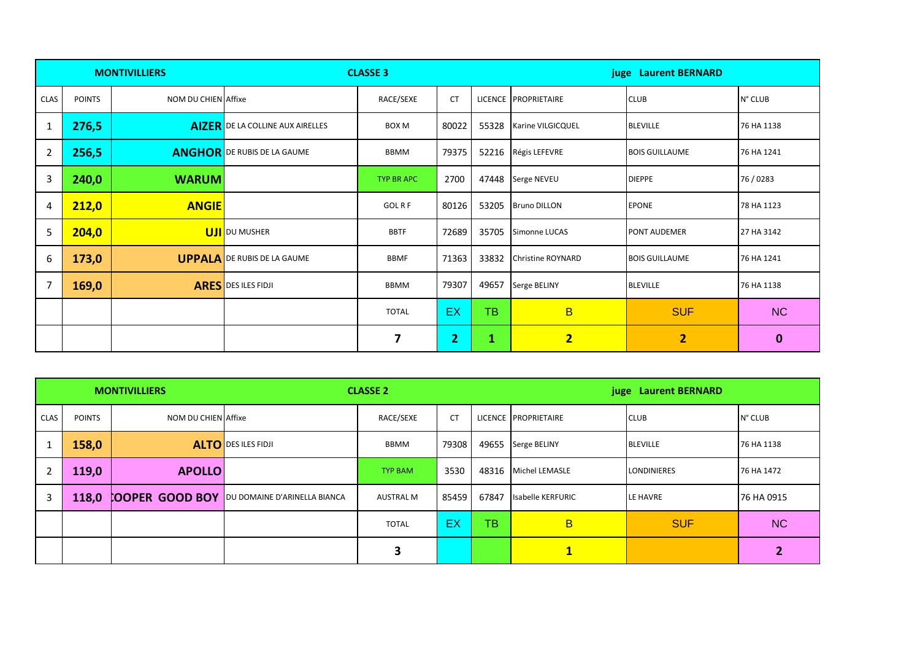|             |               | <b>MONTIVILLIERS</b> |                                         | <b>CLASSE 3</b>         |                | juge Laurent BERNARD |                          |                       |             |
|-------------|---------------|----------------------|-----------------------------------------|-------------------------|----------------|----------------------|--------------------------|-----------------------|-------------|
| <b>CLAS</b> | <b>POINTS</b> | NOM DU CHIEN Affixe  |                                         | RACE/SEXE               | <b>CT</b>      |                      | LICENCE PROPRIETAIRE     | <b>CLUB</b>           | N° CLUB     |
| 1           | 276,5         |                      | <b>AIZER</b> DE LA COLLINE AUX AIRELLES | <b>BOX M</b>            | 80022          | 55328                | Karine VILGICQUEL        | <b>BLEVILLE</b>       | 76 HA 1138  |
| 2           | 256,5         |                      | <b>ANGHOR</b> DE RUBIS DE LA GAUME      | <b>BBMM</b>             | 79375          |                      | 52216 Régis LEFEVRE      | <b>BOIS GUILLAUME</b> | 76 HA 1241  |
| 3           | 240,0         | <b>WARUM</b>         |                                         | <b>TYP BR APC</b>       | 2700           |                      | 47448 Serge NEVEU        | <b>DIEPPE</b>         | 76/0283     |
| 4           | 212,0         | <b>ANGIE</b>         |                                         | <b>GOLRF</b>            | 80126          |                      | 53205 Bruno DILLON       | <b>EPONE</b>          | 78 HA 1123  |
| 5           | 204,0         |                      | <b>UJI</b> DU MUSHER                    | <b>BBTF</b>             | 72689          | 35705                | Simonne LUCAS            | <b>PONT AUDEMER</b>   | 27 HA 3142  |
| 6           | 173,0         |                      | <b>UPPALA</b> DE RUBIS DE LA GAUME      | <b>BBMF</b>             | 71363          | 33832                | <b>Christine ROYNARD</b> | <b>BOIS GUILLAUME</b> | 76 HA 1241  |
| 7           | 169,0         |                      | <b>ARES</b> DES ILES FIDJI              | <b>BBMM</b>             | 79307          | 49657                | Serge BELINY             | <b>BLEVILLE</b>       | 76 HA 1138  |
|             |               |                      |                                         | <b>TOTAL</b>            | <b>EX</b>      | <b>TB</b>            | $\overline{B}$           | <b>SUF</b>            | <b>NC</b>   |
|             |               |                      |                                         | $\overline{\mathbf{z}}$ | 2 <sub>1</sub> | 1                    | $\overline{2}$           | $\overline{2}$        | $\mathbf 0$ |

|      |               | <b>MONTIVILLIERS</b> | <b>CLASSE 2</b>                                     |                  |           |       | juge Laurent BERNARD |                    |            |  |
|------|---------------|----------------------|-----------------------------------------------------|------------------|-----------|-------|----------------------|--------------------|------------|--|
| CLAS | <b>POINTS</b> | NOM DU CHIEN Affixe  |                                                     | RACE/SEXE        | <b>CT</b> |       | LICENCE PROPRIETAIRE | <b>CLUB</b>        | N° CLUB    |  |
|      | 158,0         |                      | <b>ALTO</b> DESILES FIDJI                           | BBMM             | 79308     |       | 49655 Serge BELINY   | <b>BLEVILLE</b>    | 76 HA 1138 |  |
| 2    | 119,0         | <b>APOLLO</b>        |                                                     | <b>TYP BAM</b>   | 3530      |       | 48316 Michel LEMASLE | <b>LONDINIERES</b> | 76 HA 1472 |  |
| 3    | 118,0         |                      | <b>COOPER GOOD BOY OU DOMAINE D'ARINELLA BIANCA</b> | <b>AUSTRAL M</b> | 85459     | 67847 | Isabelle KERFURIC    | LE HAVRE           | 76 HA 0915 |  |
|      |               |                      |                                                     | <b>TOTAL</b>     | EX        | ТB    | B                    | <b>SUF</b>         | <b>NC</b>  |  |
|      |               |                      |                                                     | 3                |           |       | $\mathbf{1}$         |                    |            |  |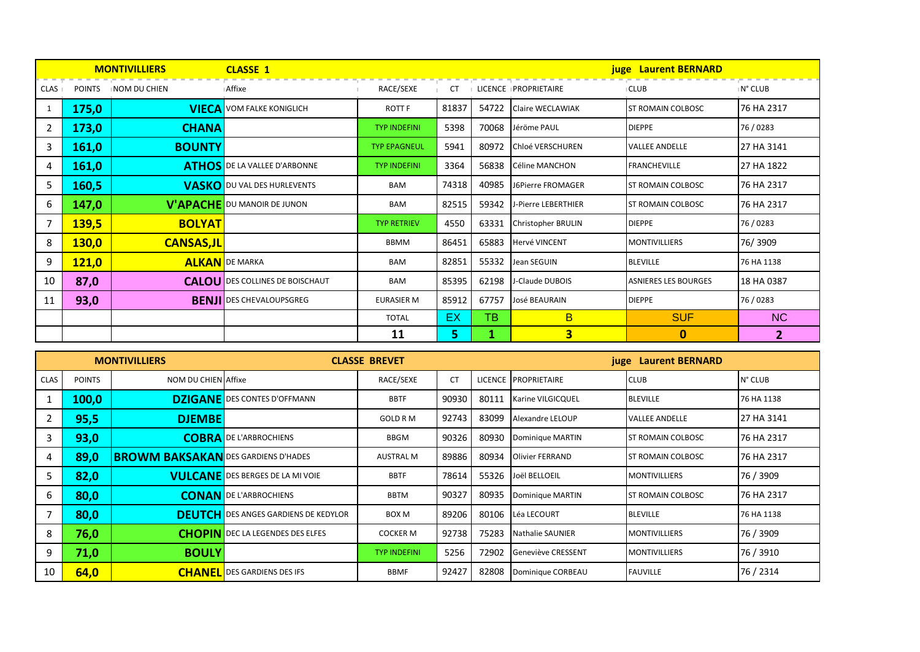|                |              | <b>MONTIVILLIERS</b> | <b>CLASSE 1</b>                        | <b>juge</b> Laurent BERNARD |       |       |                            |                             |              |  |  |
|----------------|--------------|----------------------|----------------------------------------|-----------------------------|-------|-------|----------------------------|-----------------------------|--------------|--|--|
| CLAS           | POINTS       | <b>INOM DU CHIEN</b> | ⊪Affixe                                | RACE/SEXE                   |       |       | CT I LICENCE IPROPRIETAIRE | <b>ICLUB</b>                | ⊪N° CLUB     |  |  |
|                | 175,0        |                      | <b>VIECA</b> VOM FALKE KONIGLICH       | <b>ROTT F</b>               | 81837 | 54722 | Claire WECLAWIAK           | <b>ST ROMAIN COLBOSC</b>    | 76 HA 2317   |  |  |
| 2              | 173,0        | <b>CHANA</b>         |                                        | <b>TYP INDEFINI</b>         | 5398  | 70068 | Jéröme PAUL                | <b>DIEPPE</b>               | 76/0283      |  |  |
| 3              | 161,0        | <b>BOUNTY</b>        |                                        | <b>TYP EPAGNEUL</b>         | 5941  | 80972 | Chloé VERSCHUREN           | <b>VALLEE ANDELLE</b>       | 27 HA 3141   |  |  |
| 4              | 161,0        |                      | <b>ATHOS</b> DE LA VALLEE D'ARBONNE    | <b>TYP INDEFINI</b>         | 3364  | 56838 | Céline MANCHON             | <b>FRANCHEVILLE</b>         | 27 HA 1822   |  |  |
| 5              | 160,5        |                      | <b>VASKO</b> DU VAL DES HURLEVENTS     | <b>BAM</b>                  | 74318 | 40985 | J6Pierre FROMAGER          | <b>ST ROMAIN COLBOSC</b>    | 76 HA 2317   |  |  |
| 6              | 147,0        |                      | <b>V'APACHE</b> DU MANOIR DE JUNON     | <b>BAM</b>                  | 82515 | 59342 | <b>J-Pierre LEBERTHIER</b> | <b>ST ROMAIN COLBOSC</b>    | 76 HA 2317   |  |  |
| $\overline{7}$ | <b>139,5</b> | <b>BOLYAT</b>        |                                        | <b>TYP RETRIEV</b>          | 4550  | 63331 | <b>Christopher BRULIN</b>  | <b>DIEPPE</b>               | 76/0283      |  |  |
| 8              | <b>130,0</b> | <b>CANSAS,JL</b>     |                                        | BBMM                        | 86451 | 65883 | <b>Hervé VINCENT</b>       | <b>MONTIVILLIERS</b>        | 76/3909      |  |  |
| 9              | 121,0        |                      | <b>ALKAN</b> DE MARKA                  | <b>BAM</b>                  | 82851 | 55332 | Jean SEGUIN                | <b>BLEVILLE</b>             | 76 HA 1138   |  |  |
| 10             | 87,0         |                      | <b>CALOU</b> DES COLLINES DE BOISCHAUT | <b>BAM</b>                  | 85395 | 62198 | J-Claude DUBOIS            | <b>ASNIERES LES BOURGES</b> | 18 HA 0387   |  |  |
| 11             | 93,0         |                      | <b>BENJI DES CHEVALOUPSGREG</b>        | <b>EURASIER M</b>           | 85912 | 67757 | <b>José BEAURAIN</b>       | <b>DIEPPE</b>               | 76/0283      |  |  |
|                |              |                      |                                        | <b>TOTAL</b>                | EX.   | TB    | B.                         | <b>SUF</b>                  | <b>NC</b>    |  |  |
|                |              |                      |                                        | 11                          | 5.    |       | $\overline{\mathbf{3}}$    | $\mathbf{0}$                | $\mathbf{2}$ |  |  |

|             |               | <b>MONTIVILLIERS</b>                       |                                             | <b>CLASSE BREVET</b> |           |       | juge Laurent BERNARD    |                           |            |  |
|-------------|---------------|--------------------------------------------|---------------------------------------------|----------------------|-----------|-------|-------------------------|---------------------------|------------|--|
| <b>CLAS</b> | <b>POINTS</b> | NOM DU CHIEN Affixe                        |                                             | RACE/SEXE            | <b>CT</b> |       | LICENCE PROPRIETAIRE    | <b>CLUB</b>               | N° CLUB    |  |
|             | 100,0         |                                            | <b>DZIGANE</b> DES CONTES D'OFFMANN         | <b>BBTF</b>          | 90930     | 80111 | Karine VILGICQUEL       | <b>BLEVILLE</b>           | 76 HA 1138 |  |
| 2           | 95,5          | <b>DJEMBE</b>                              |                                             | <b>GOLD R M</b>      | 92743     | 83099 | Alexandre LELOUP        | <b>VALLEE ANDELLE</b>     | 27 HA 3141 |  |
| 3           | 93,0          |                                            | <b>COBRA</b> DE L'ARBROCHIENS               | <b>BBGM</b>          | 90326     | 80930 | Dominique MARTIN        | <b>IST ROMAIN COLBOSC</b> | 76 HA 2317 |  |
| 4           | 89,0          | <b>BROWM BAKSAKAN</b> DES GARDIENS D'HADES |                                             | <b>AUSTRAL M</b>     | 89886     | 80934 | <b>Olivier FERRAND</b>  | <b>ST ROMAIN COLBOSC</b>  | 76 HA 2317 |  |
| 5           | 82,0          |                                            | <b>VULCANE</b> DES BERGES DE LA MI VOIE     | <b>BBTF</b>          | 78614     | 55326 | Joël BELLOEIL           | <b>MONTIVILLIERS</b>      | 76 / 3909  |  |
| 6           | 80,0          |                                            | <b>CONAN</b> DE L'ARBROCHIENS               | <b>BBTM</b>          | 90327     | 80935 | Dominique MARTIN        | <b>IST ROMAIN COLBOSC</b> | 76 HA 2317 |  |
|             | 80,0          |                                            | <b>DEUTCH</b> DES ANGES GARDIENS DE KEDYLOR | <b>BOX M</b>         | 89206     | 80106 | Léa LECOURT             | <b>BLEVILLE</b>           | 76 HA 1138 |  |
| 8           | 76,0          |                                            | <b>CHOPIN</b> DEC LA LEGENDES DES ELFES     | <b>COCKER M</b>      | 92738     | 75283 | <b>Nathalie SAUNIER</b> | <b>MONTIVILLIERS</b>      | 76 / 3909  |  |
| 9           | 71,0          | <b>BOULY</b>                               |                                             | <b>TYP INDEFINI</b>  | 5256      | 72902 | Geneviève CRESSENT      | <b>MONTIVILLIERS</b>      | 76 / 3910  |  |
| 10          | 64,0          |                                            | <b>CHANEL</b> DES GARDIENS DES IFS          | <b>BBMF</b>          | 92427     | 82808 | Dominique CORBEAU       | <b>FAUVILLE</b>           | 76 / 2314  |  |